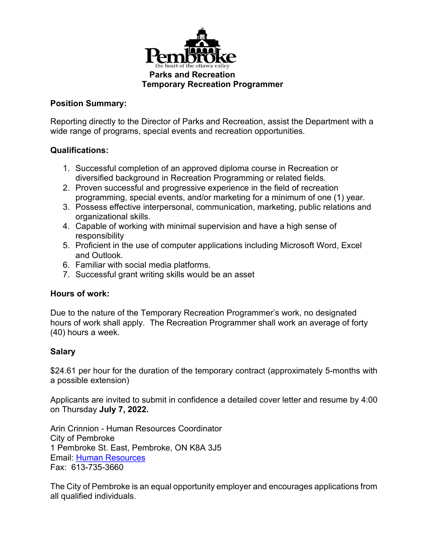

# **Position Summary:**

Reporting directly to the Director of Parks and Recreation, assist the Department with a wide range of programs, special events and recreation opportunities.

#### **Qualifications:**

- 1. Successful completion of an approved diploma course in Recreation or diversified background in Recreation Programming or related fields.
- 2. Proven successful and progressive experience in the field of recreation programming, special events, and/or marketing for a minimum of one (1) year.
- 3. Possess effective interpersonal, communication, marketing, public relations and organizational skills.
- 4. Capable of working with minimal supervision and have a high sense of responsibility
- 5. Proficient in the use of computer applications including Microsoft Word, Excel and Outlook.
- 6. Familiar with social media platforms.
- 7. Successful grant writing skills would be an asset

# **Hours of work:**

Due to the nature of the Temporary Recreation Programmer's work, no designated hours of work shall apply. The Recreation Programmer shall work an average of forty (40) hours a week.

# **Salary**

\$24.61 per hour for the duration of the temporary contract (approximately 5-months with a possible extension)

Applicants are invited to submit in confidence a detailed cover letter and resume by 4:00 on Thursday **July 7, 2022.**

Arin Crinnion - Human Resources Coordinator City of Pembroke 1 Pembroke St. East, Pembroke, ON K8A 3J5 Email: [Human Resources](mailto:hr@pembroke.ca) Fax: 613-735-3660

The City of Pembroke is an equal opportunity employer and encourages applications from all qualified individuals.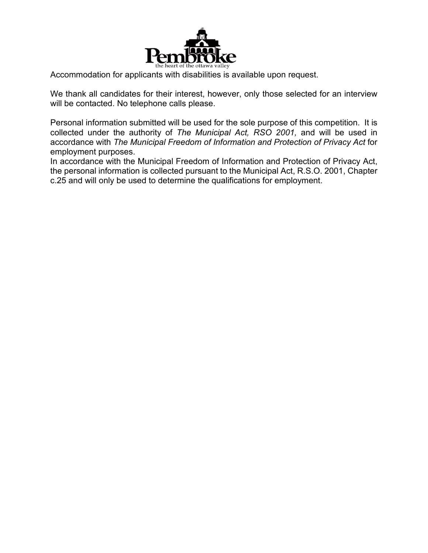

Accommodation for applicants with disabilities is available upon request.

We thank all candidates for their interest, however, only those selected for an interview will be contacted. No telephone calls please.

Personal information submitted will be used for the sole purpose of this competition. It is collected under the authority of *The Municipal Act, RSO 2001,* and will be used in accordance with *The Municipal Freedom of Information and Protection of Privacy Act* for employment purposes.

In accordance with the Municipal Freedom of Information and Protection of Privacy Act, the personal information is collected pursuant to the Municipal Act, R.S.O. 2001, Chapter c.25 and will only be used to determine the qualifications for employment.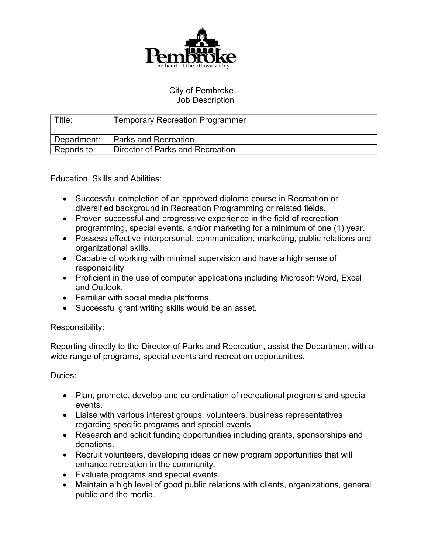

#### City of Pembroke Job Description

| Title:      | <b>Temporary Recreation Programmer</b> |
|-------------|----------------------------------------|
| Department: | Parks and Recreation                   |
| Reports to: | Director of Parks and Recreation       |

Education, Skills and Abilities:

- Successful completion of an approved diploma course in Recreation or diversified background in Recreation Programming or related fields.
- Proven successful and progressive experience in the field of recreation programming, special events, and/or marketing for a minimum of one (1) year.
- Possess effective interpersonal, communication, marketing, public relations and organizational skills.
- Capable of working with minimal supervision and have a high sense of responsibility
- Proficient in the use of computer applications including Microsoft Word, Excel and Outlook.
- Familiar with social media platforms.
- Successful grant writing skills would be an asset.

# Responsibility:

Reporting directly to the Director of Parks and Recreation, assist the Department with a wide range of programs, special events and recreation opportunities.

#### Duties:

- Plan, promote, develop and co-ordination of recreational programs and special events.
- Liaise with various interest groups, volunteers, business representatives regarding specific programs and special events.
- Research and solicit funding opportunities including grants, sponsorships and donations.
- Recruit volunteers, developing ideas or new program opportunities that will enhance recreation in the community.
- Evaluate programs and special events.
- Maintain a high level of good public relations with clients, organizations, general public and the media.